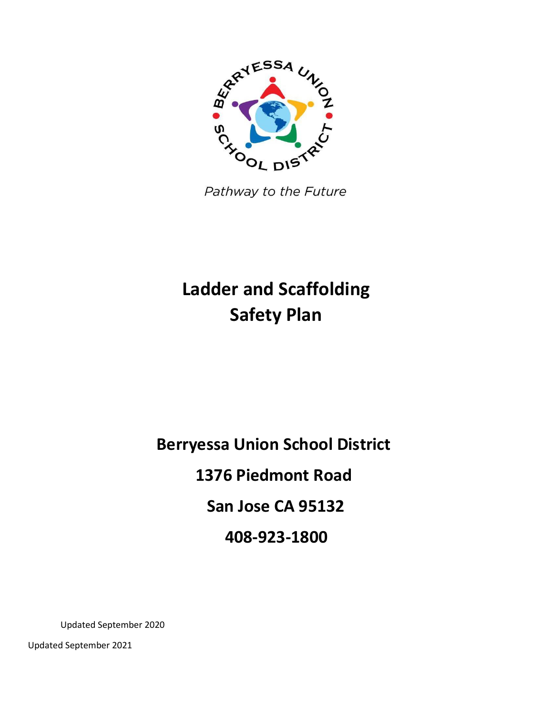

Pathway to the Future

# **Ladder and Scaffolding Safety Plan**

**Berryessa Union School District 1376 Piedmont Road San Jose CA 95132 408-923-1800**

Updated September 2020

Updated September 2021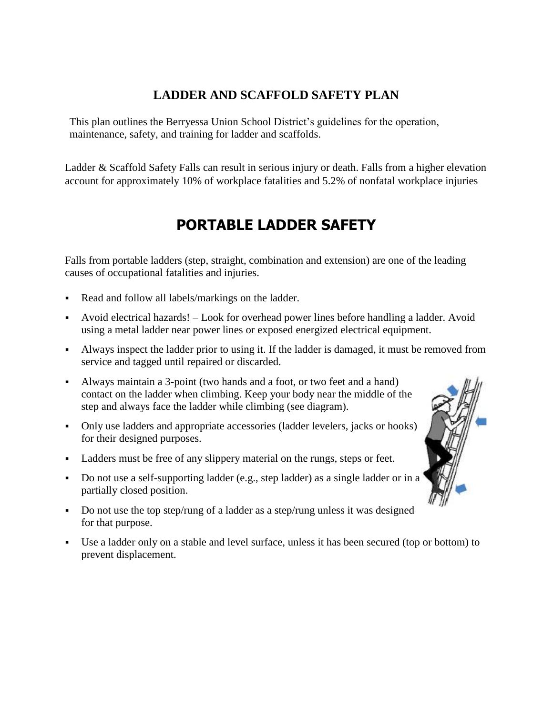### **LADDER AND SCAFFOLD SAFETY PLAN**

This plan outlines the Berryessa Union School District's guidelines for the operation, maintenance, safety, and training for ladder and scaffolds.

Ladder & Scaffold Safety Falls can result in serious injury or death. Falls from a higher elevation account for approximately 10% of workplace fatalities and 5.2% of nonfatal workplace injuries

## **PORTABLE LADDER SAFETY**

Falls from portable ladders (step, straight, combination and extension) are one of the leading causes of occupational fatalities and injuries.

- Read and follow all labels/markings on the ladder.
- Avoid electrical hazards! Look for overhead power lines before handling a ladder. Avoid using a metal ladder near power lines or exposed energized electrical equipment.
- Always inspect the ladder prior to using it. If the ladder is damaged, it must be removed from service and tagged until repaired or discarded.
- Always maintain a 3-point (two hands and a foot, or two feet and a hand) contact on the ladder when climbing. Keep your body near the middle of the step and always face the ladder while climbing (see diagram).
- Only use ladders and appropriate accessories (ladder levelers, jacks or hooks) for their designed purposes.
- Ladders must be free of any slippery material on the rungs, steps or feet.
- Do not use a self-supporting ladder (e.g., step ladder) as a single ladder or in a partially closed position.
- Do not use the top step/rung of a ladder as a step/rung unless it was designed for that purpose.
- Use a ladder only on a stable and level surface, unless it has been secured (top or bottom) to prevent displacement.

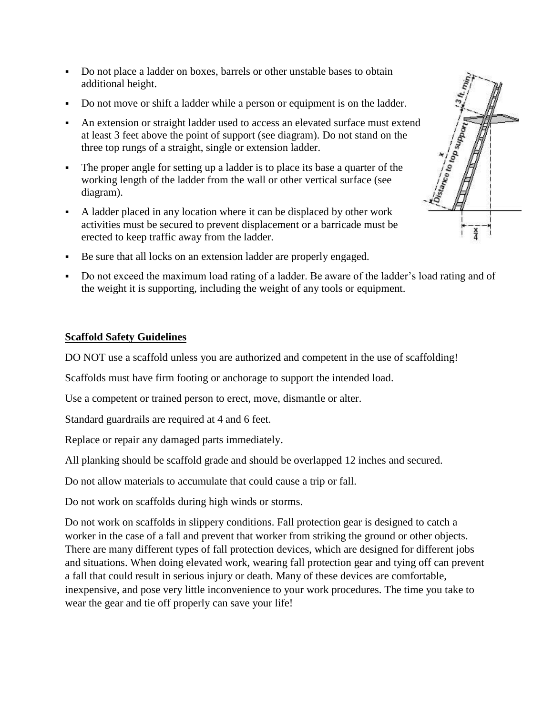- Do not place a ladder on boxes, barrels or other unstable bases to obtain additional height.
- Do not move or shift a ladder while a person or equipment is on the ladder.
- An extension or straight ladder used to access an elevated surface must extend at least 3 feet above the point of support (see diagram). Do not stand on the three top rungs of a straight, single or extension ladder.
- The proper angle for setting up a ladder is to place its base a quarter of the working length of the ladder from the wall or other vertical surface (see diagram).
- A ladder placed in any location where it can be displaced by other work activities must be secured to prevent displacement or a barricade must be erected to keep traffic away from the ladder.
- $\frac{x}{4}$
- Be sure that all locks on an extension ladder are properly engaged.
- Do not exceed the maximum load rating of a ladder. Be aware of the ladder's load rating and of the weight it is supporting, including the weight of any tools or equipment.

#### **Scaffold Safety Guidelines**

DO NOT use a scaffold unless you are authorized and competent in the use of scaffolding!

Scaffolds must have firm footing or anchorage to support the intended load.

Use a competent or trained person to erect, move, dismantle or alter.

Standard guardrails are required at 4 and 6 feet.

Replace or repair any damaged parts immediately.

All planking should be scaffold grade and should be overlapped 12 inches and secured.

Do not allow materials to accumulate that could cause a trip or fall.

Do not work on scaffolds during high winds or storms.

Do not work on scaffolds in slippery conditions. Fall protection gear is designed to catch a worker in the case of a fall and prevent that worker from striking the ground or other objects. There are many different types of fall protection devices, which are designed for different jobs and situations. When doing elevated work, wearing fall protection gear and tying off can prevent a fall that could result in serious injury or death. Many of these devices are comfortable, inexpensive, and pose very little inconvenience to your work procedures. The time you take to wear the gear and tie off properly can save your life!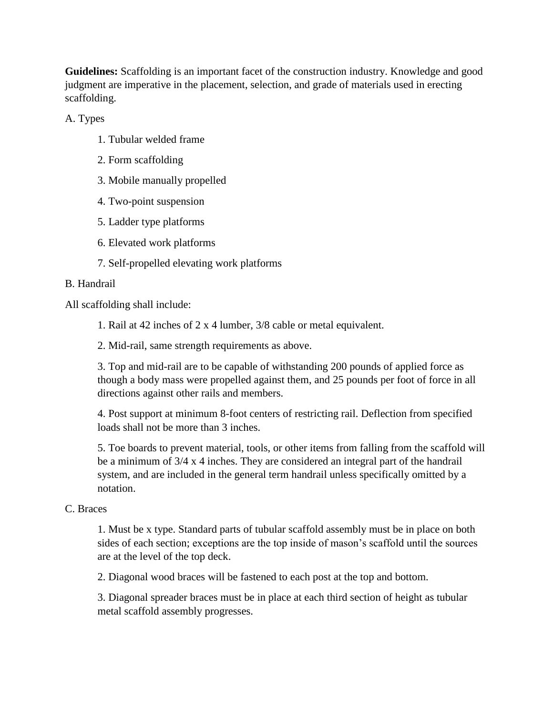**Guidelines:** Scaffolding is an important facet of the construction industry. Knowledge and good judgment are imperative in the placement, selection, and grade of materials used in erecting scaffolding.

A. Types

- 1. Tubular welded frame
- 2. Form scaffolding
- 3. Mobile manually propelled
- 4. Two-point suspension
- 5. Ladder type platforms
- 6. Elevated work platforms
- 7. Self-propelled elevating work platforms

#### B. Handrail

All scaffolding shall include:

- 1. Rail at 42 inches of 2 x 4 lumber, 3/8 cable or metal equivalent.
- 2. Mid-rail, same strength requirements as above.

3. Top and mid-rail are to be capable of withstanding 200 pounds of applied force as though a body mass were propelled against them, and 25 pounds per foot of force in all directions against other rails and members.

4. Post support at minimum 8-foot centers of restricting rail. Deflection from specified loads shall not be more than 3 inches.

5. Toe boards to prevent material, tools, or other items from falling from the scaffold will be a minimum of 3/4 x 4 inches. They are considered an integral part of the handrail system, and are included in the general term handrail unless specifically omitted by a notation.

#### C. Braces

1. Must be x type. Standard parts of tubular scaffold assembly must be in place on both sides of each section; exceptions are the top inside of mason's scaffold until the sources are at the level of the top deck.

2. Diagonal wood braces will be fastened to each post at the top and bottom.

3. Diagonal spreader braces must be in place at each third section of height as tubular metal scaffold assembly progresses.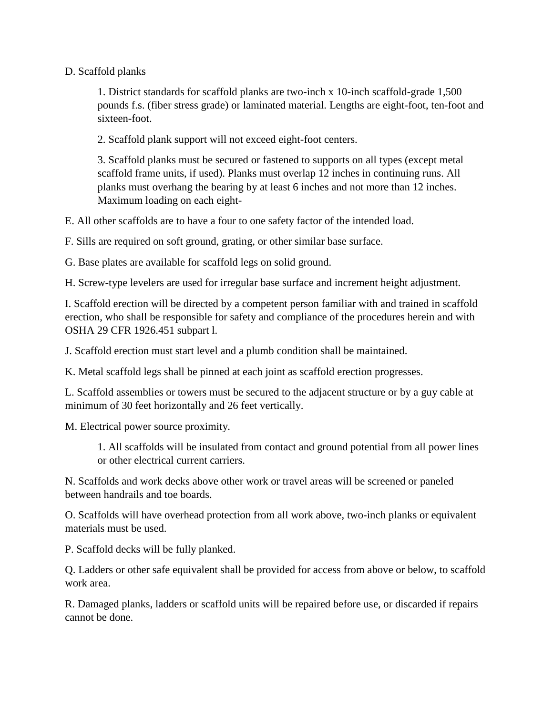#### D. Scaffold planks

1. District standards for scaffold planks are two-inch x 10-inch scaffold-grade 1,500 pounds f.s. (fiber stress grade) or laminated material. Lengths are eight-foot, ten-foot and sixteen-foot.

2. Scaffold plank support will not exceed eight-foot centers.

3. Scaffold planks must be secured or fastened to supports on all types (except metal scaffold frame units, if used). Planks must overlap 12 inches in continuing runs. All planks must overhang the bearing by at least 6 inches and not more than 12 inches. Maximum loading on each eight-

E. All other scaffolds are to have a four to one safety factor of the intended load.

F. Sills are required on soft ground, grating, or other similar base surface.

G. Base plates are available for scaffold legs on solid ground.

H. Screw-type levelers are used for irregular base surface and increment height adjustment.

I. Scaffold erection will be directed by a competent person familiar with and trained in scaffold erection, who shall be responsible for safety and compliance of the procedures herein and with OSHA 29 CFR 1926.451 subpart l.

J. Scaffold erection must start level and a plumb condition shall be maintained.

K. Metal scaffold legs shall be pinned at each joint as scaffold erection progresses.

L. Scaffold assemblies or towers must be secured to the adjacent structure or by a guy cable at minimum of 30 feet horizontally and 26 feet vertically.

M. Electrical power source proximity.

1. All scaffolds will be insulated from contact and ground potential from all power lines or other electrical current carriers.

N. Scaffolds and work decks above other work or travel areas will be screened or paneled between handrails and toe boards.

O. Scaffolds will have overhead protection from all work above, two-inch planks or equivalent materials must be used.

P. Scaffold decks will be fully planked.

Q. Ladders or other safe equivalent shall be provided for access from above or below, to scaffold work area.

R. Damaged planks, ladders or scaffold units will be repaired before use, or discarded if repairs cannot be done.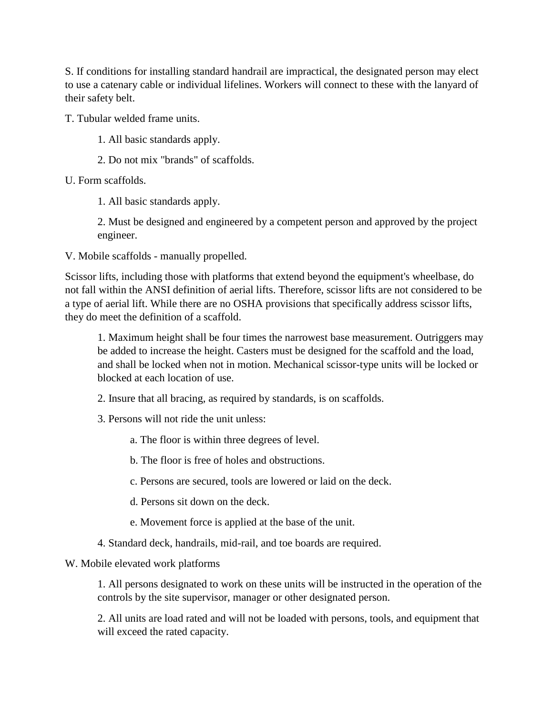S. If conditions for installing standard handrail are impractical, the designated person may elect to use a catenary cable or individual lifelines. Workers will connect to these with the lanyard of their safety belt.

T. Tubular welded frame units.

- 1. All basic standards apply.
- 2. Do not mix "brands" of scaffolds.

U. Form scaffolds.

1. All basic standards apply.

2. Must be designed and engineered by a competent person and approved by the project engineer.

V. Mobile scaffolds - manually propelled.

Scissor lifts, including those with platforms that extend beyond the equipment's wheelbase, do not fall within the ANSI definition of aerial lifts. Therefore, scissor lifts are not considered to be a type of aerial lift. While there are no OSHA provisions that specifically address scissor lifts, they do meet the definition of a scaffold.

1. Maximum height shall be four times the narrowest base measurement. Outriggers may be added to increase the height. Casters must be designed for the scaffold and the load, and shall be locked when not in motion. Mechanical scissor-type units will be locked or blocked at each location of use.

- 2. Insure that all bracing, as required by standards, is on scaffolds.
- 3. Persons will not ride the unit unless:

a. The floor is within three degrees of level.

b. The floor is free of holes and obstructions.

c. Persons are secured, tools are lowered or laid on the deck.

- d. Persons sit down on the deck.
- e. Movement force is applied at the base of the unit.
- 4. Standard deck, handrails, mid-rail, and toe boards are required.

#### W. Mobile elevated work platforms

1. All persons designated to work on these units will be instructed in the operation of the controls by the site supervisor, manager or other designated person.

2. All units are load rated and will not be loaded with persons, tools, and equipment that will exceed the rated capacity.